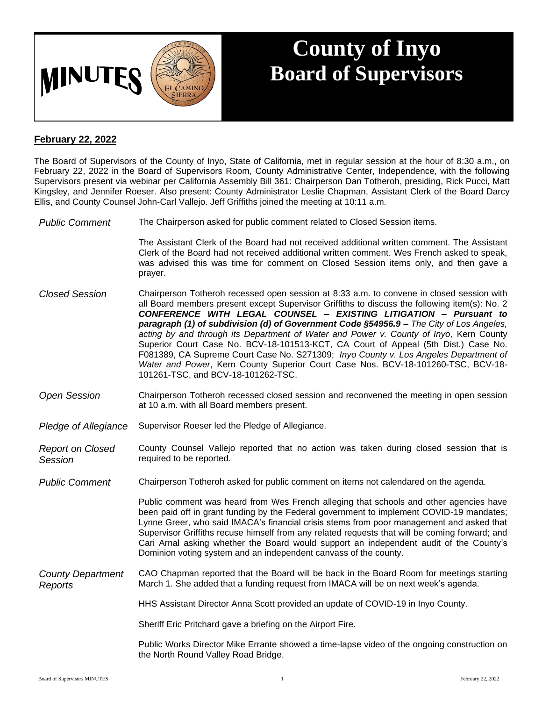

## **County of Inyo Board of Supervisors**

## **February 22, 2022**

The Board of Supervisors of the County of Inyo, State of California, met in regular session at the hour of 8:30 a.m., on February 22, 2022 in the Board of Supervisors Room, County Administrative Center, Independence, with the following Supervisors present via webinar per California Assembly Bill 361: Chairperson Dan Totheroh, presiding, Rick Pucci, Matt Kingsley, and Jennifer Roeser. Also present: County Administrator Leslie Chapman, Assistant Clerk of the Board Darcy Ellis, and County Counsel John-Carl Vallejo. Jeff Griffiths joined the meeting at 10:11 a.m.

*Public Comment* The Chairperson asked for public comment related to Closed Session items.

The Assistant Clerk of the Board had not received additional written comment. The Assistant Clerk of the Board had not received additional written comment. Wes French asked to speak, was advised this was time for comment on Closed Session items only, and then gave a prayer.

- *Closed Session* Chairperson Totheroh recessed open session at 8:33 a.m. to convene in closed session with all Board members present except Supervisor Griffiths to discuss the following item(s): No. 2 *CONFERENCE WITH LEGAL COUNSEL – EXISTING LITIGATION – Pursuant to paragraph (1) of subdivision (d) of Government Code §54956.9 – The City of Los Angeles, acting by and through its Department of Water and Power v. County of Inyo*, Kern County Superior Court Case No. BCV-18-101513-KCT, CA Court of Appeal (5th Dist.) Case No. F081389, CA Supreme Court Case No. S271309; *Inyo County v. Los Angeles Department of Water and Power*, Kern County Superior Court Case Nos. BCV-18-101260-TSC, BCV-18- 101261-TSC, and BCV-18-101262-TSC.
- *Open Session* Chairperson Totheroh recessed closed session and reconvened the meeting in open session at 10 a.m. with all Board members present.
- *Pledge of Allegiance* Supervisor Roeser led the Pledge of Allegiance.

*Report on Closed Session* County Counsel Vallejo reported that no action was taken during closed session that is required to be reported.

*Public Comment* Chairperson Totheroh asked for public comment on items not calendared on the agenda.

Public comment was heard from Wes French alleging that schools and other agencies have been paid off in grant funding by the Federal government to implement COVID-19 mandates; Lynne Greer, who said IMACA's financial crisis stems from poor management and asked that Supervisor Griffiths recuse himself from any related requests that will be coming forward; and Cari Arnal asking whether the Board would support an independent audit of the County's Dominion voting system and an independent canvass of the county.

*County Department Reports* CAO Chapman reported that the Board will be back in the Board Room for meetings starting March 1. She added that a funding request from IMACA will be on next week's agenda.

HHS Assistant Director Anna Scott provided an update of COVID-19 in Inyo County.

Sheriff Eric Pritchard gave a briefing on the Airport Fire.

Public Works Director Mike Errante showed a time-lapse video of the ongoing construction on the North Round Valley Road Bridge.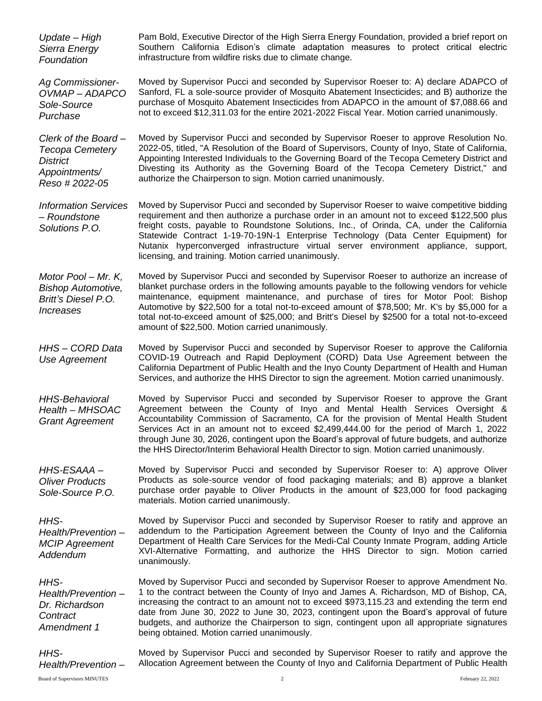| Update - High<br>Sierra Energy<br>Foundation                                                        | Pam Bold, Executive Director of the High Sierra Energy Foundation, provided a brief report on<br>Southern California Edison's climate adaptation measures to protect critical electric<br>infrastructure from wildfire risks due to climate change.                                                                                                                                                                                                                                                                                             |
|-----------------------------------------------------------------------------------------------------|-------------------------------------------------------------------------------------------------------------------------------------------------------------------------------------------------------------------------------------------------------------------------------------------------------------------------------------------------------------------------------------------------------------------------------------------------------------------------------------------------------------------------------------------------|
| <b>Ag Commissioner-</b><br>OVMAP-ADAPCO<br>Sole-Source<br>Purchase                                  | Moved by Supervisor Pucci and seconded by Supervisor Roeser to: A) declare ADAPCO of<br>Sanford, FL a sole-source provider of Mosquito Abatement Insecticides; and B) authorize the<br>purchase of Mosquito Abatement Insecticides from ADAPCO in the amount of \$7,088.66 and<br>not to exceed \$12,311.03 for the entire 2021-2022 Fiscal Year. Motion carried unanimously.                                                                                                                                                                   |
| Clerk of the Board-<br><b>Tecopa Cemetery</b><br><b>District</b><br>Appointments/<br>Reso # 2022-05 | Moved by Supervisor Pucci and seconded by Supervisor Roeser to approve Resolution No.<br>2022-05, titled, "A Resolution of the Board of Supervisors, County of Inyo, State of California,<br>Appointing Interested Individuals to the Governing Board of the Tecopa Cemetery District and<br>Divesting its Authority as the Governing Board of the Tecopa Cemetery District," and<br>authorize the Chairperson to sign. Motion carried unanimously.                                                                                             |
| <b>Information Services</b><br>- Roundstone<br>Solutions P.O.                                       | Moved by Supervisor Pucci and seconded by Supervisor Roeser to waive competitive bidding<br>requirement and then authorize a purchase order in an amount not to exceed \$122,500 plus<br>freight costs, payable to Roundstone Solutions, Inc., of Orinda, CA, under the California<br>Statewide Contract 1-19-70-19N-1 Enterprise Technology (Data Center Equipment) for<br>Nutanix hyperconverged infrastructure virtual server environment appliance, support,<br>licensing, and training. Motion carried unanimously.                        |
| Motor Pool - Mr. K,<br><b>Bishop Automotive,</b><br>Britt's Diesel P.O.<br><i><b>Increases</b></i>  | Moved by Supervisor Pucci and seconded by Supervisor Roeser to authorize an increase of<br>blanket purchase orders in the following amounts payable to the following vendors for vehicle<br>maintenance, equipment maintenance, and purchase of tires for Motor Pool: Bishop<br>Automotive by \$22,500 for a total not-to-exceed amount of \$78,500; Mr. K's by \$5,000 for a<br>total not-to-exceed amount of \$25,000; and Britt's Diesel by \$2500 for a total not-to-exceed<br>amount of \$22,500. Motion carried unanimously.              |
| <b>HHS-CORD Data</b><br>Use Agreement                                                               | Moved by Supervisor Pucci and seconded by Supervisor Roeser to approve the California<br>COVID-19 Outreach and Rapid Deployment (CORD) Data Use Agreement between the<br>California Department of Public Health and the Inyo County Department of Health and Human<br>Services, and authorize the HHS Director to sign the agreement. Motion carried unanimously.                                                                                                                                                                               |
| <b>HHS-Behavioral</b><br>Health - MHSOAC<br><b>Grant Agreement</b>                                  | Moved by Supervisor Pucci and seconded by Supervisor Roeser to approve the Grant<br>Agreement between the County of Inyo and Mental Health Services Oversight &<br>Accountability Commission of Sacramento, CA for the provision of Mental Health Student<br>Services Act in an amount not to exceed \$2,499,444.00 for the period of March 1, 2022<br>through June 30, 2026, contingent upon the Board's approval of future budgets, and authorize<br>the HHS Director/Interim Behavioral Health Director to sign. Motion carried unanimously. |
| HHS-ESAAA-<br><b>Oliver Products</b><br>Sole-Source P.O.                                            | Moved by Supervisor Pucci and seconded by Supervisor Roeser to: A) approve Oliver<br>Products as sole-source vendor of food packaging materials; and B) approve a blanket<br>purchase order payable to Oliver Products in the amount of \$23,000 for food packaging<br>materials. Motion carried unanimously.                                                                                                                                                                                                                                   |
| HHS-<br>Health/Prevention-<br><b>MCIP Agreement</b><br>Addendum                                     | Moved by Supervisor Pucci and seconded by Supervisor Roeser to ratify and approve an<br>addendum to the Participation Agreement between the County of Inyo and the California<br>Department of Health Care Services for the Medi-Cal County Inmate Program, adding Article<br>XVI-Alternative Formatting, and authorize the HHS Director to sign. Motion carried<br>unanimously.                                                                                                                                                                |
| HHS-<br>Health/Prevention-<br>Dr. Richardson<br>Contract<br>Amendment 1                             | Moved by Supervisor Pucci and seconded by Supervisor Roeser to approve Amendment No.<br>1 to the contract between the County of Inyo and James A. Richardson, MD of Bishop, CA,<br>increasing the contract to an amount not to exceed \$973,115.23 and extending the term end<br>date from June 30, 2022 to June 30, 2023, contingent upon the Board's approval of future<br>budgets, and authorize the Chairperson to sign, contingent upon all appropriate signatures<br>being obtained. Motion carried unanimously.                          |
| HHS-<br>Health/Prevention-                                                                          | Moved by Supervisor Pucci and seconded by Supervisor Roeser to ratify and approve the<br>Allocation Agreement between the County of Inyo and California Department of Public Health                                                                                                                                                                                                                                                                                                                                                             |
| <b>Board of Supervisors MINUTES</b>                                                                 | $\overline{c}$<br>February 22, 2022                                                                                                                                                                                                                                                                                                                                                                                                                                                                                                             |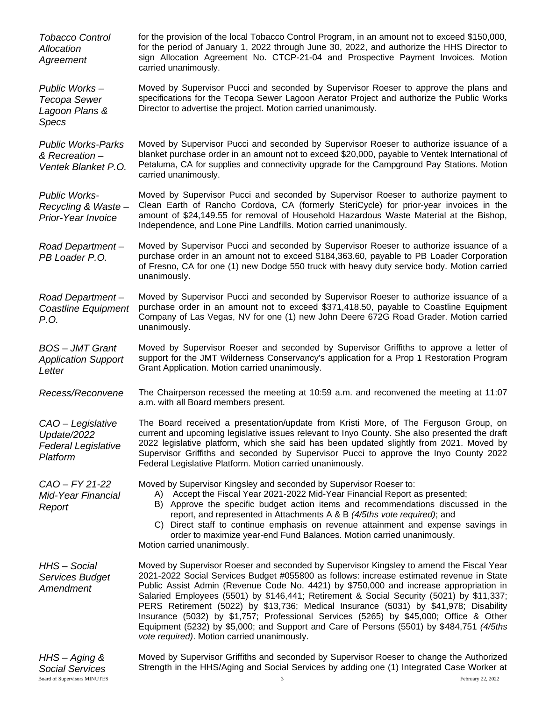| <b>Tobacco Control</b><br>Allocation<br>Agreement                          | for the provision of the local Tobacco Control Program, in an amount not to exceed \$150,000,<br>for the period of January 1, 2022 through June 30, 2022, and authorize the HHS Director to<br>sign Allocation Agreement No. CTCP-21-04 and Prospective Payment Invoices. Motion<br>carried unanimously.                                                                                                                                                                                                                                                                                                                                                                                              |  |
|----------------------------------------------------------------------------|-------------------------------------------------------------------------------------------------------------------------------------------------------------------------------------------------------------------------------------------------------------------------------------------------------------------------------------------------------------------------------------------------------------------------------------------------------------------------------------------------------------------------------------------------------------------------------------------------------------------------------------------------------------------------------------------------------|--|
| Public Works-<br>Tecopa Sewer<br>Lagoon Plans &<br><b>Specs</b>            | Moved by Supervisor Pucci and seconded by Supervisor Roeser to approve the plans and<br>specifications for the Tecopa Sewer Lagoon Aerator Project and authorize the Public Works<br>Director to advertise the project. Motion carried unanimously.                                                                                                                                                                                                                                                                                                                                                                                                                                                   |  |
| <b>Public Works-Parks</b><br>& Recreation-<br>Ventek Blanket P.O.          | Moved by Supervisor Pucci and seconded by Supervisor Roeser to authorize issuance of a<br>blanket purchase order in an amount not to exceed \$20,000, payable to Ventek International of<br>Petaluma, CA for supplies and connectivity upgrade for the Campground Pay Stations. Motion<br>carried unanimously.                                                                                                                                                                                                                                                                                                                                                                                        |  |
| <b>Public Works-</b><br>Recycling & Waste-<br>Prior-Year Invoice           | Moved by Supervisor Pucci and seconded by Supervisor Roeser to authorize payment to<br>Clean Earth of Rancho Cordova, CA (formerly SteriCycle) for prior-year invoices in the<br>amount of \$24,149.55 for removal of Household Hazardous Waste Material at the Bishop,<br>Independence, and Lone Pine Landfills. Motion carried unanimously.                                                                                                                                                                                                                                                                                                                                                         |  |
| Road Department-<br>PB Loader P.O.                                         | Moved by Supervisor Pucci and seconded by Supervisor Roeser to authorize issuance of a<br>purchase order in an amount not to exceed \$184,363.60, payable to PB Loader Corporation<br>of Fresno, CA for one (1) new Dodge 550 truck with heavy duty service body. Motion carried<br>unanimously.                                                                                                                                                                                                                                                                                                                                                                                                      |  |
| Road Department-<br><b>Coastline Equipment</b><br>P.O.                     | Moved by Supervisor Pucci and seconded by Supervisor Roeser to authorize issuance of a<br>purchase order in an amount not to exceed \$371,418.50, payable to Coastline Equipment<br>Company of Las Vegas, NV for one (1) new John Deere 672G Road Grader. Motion carried<br>unanimously.                                                                                                                                                                                                                                                                                                                                                                                                              |  |
| <b>BOS-JMT Grant</b><br><b>Application Support</b><br>Letter               | Moved by Supervisor Roeser and seconded by Supervisor Griffiths to approve a letter of<br>support for the JMT Wilderness Conservancy's application for a Prop 1 Restoration Program<br>Grant Application. Motion carried unanimously.                                                                                                                                                                                                                                                                                                                                                                                                                                                                 |  |
| Recess/Reconvene                                                           | The Chairperson recessed the meeting at 10:59 a.m. and reconvened the meeting at 11:07<br>a.m. with all Board members present.                                                                                                                                                                                                                                                                                                                                                                                                                                                                                                                                                                        |  |
| CAO - Legislative<br>Update/2022<br><b>Federal Legislative</b><br>Platform | The Board received a presentation/update from Kristi More, of The Ferguson Group, on<br>current and upcoming legislative issues relevant to Inyo County. She also presented the draft<br>2022 legislative platform, which she said has been updated slightly from 2021. Moved by<br>Supervisor Griffiths and seconded by Supervisor Pucci to approve the Inyo County 2022<br>Federal Legislative Platform. Motion carried unanimously.                                                                                                                                                                                                                                                                |  |
| CAO - FY 21-22<br><b>Mid-Year Financial</b><br>Report                      | Moved by Supervisor Kingsley and seconded by Supervisor Roeser to:<br>Accept the Fiscal Year 2021-2022 Mid-Year Financial Report as presented;<br>A).<br>B) Approve the specific budget action items and recommendations discussed in the<br>report, and represented in Attachments A & B (4/5ths vote required); and<br>C) Direct staff to continue emphasis on revenue attainment and expense savings in<br>order to maximize year-end Fund Balances. Motion carried unanimously.<br>Motion carried unanimously.                                                                                                                                                                                    |  |
| HHS-Social<br><b>Services Budget</b><br>Amendment                          | Moved by Supervisor Roeser and seconded by Supervisor Kingsley to amend the Fiscal Year<br>2021-2022 Social Services Budget #055800 as follows: increase estimated revenue in State<br>Public Assist Admin (Revenue Code No. 4421) by \$750,000 and increase appropriation in<br>Salaried Employees (5501) by \$146,441; Retirement & Social Security (5021) by \$11,337;<br>PERS Retirement (5022) by \$13,736; Medical Insurance (5031) by \$41,978; Disability<br>Insurance (5032) by \$1,757; Professional Services (5265) by \$45,000; Office & Other<br>Equipment (5232) by \$5,000; and Support and Care of Persons (5501) by \$484,751 (4/5ths<br>vote required). Motion carried unanimously. |  |
| பப்<br>$\Delta$ $\sim$ in                                                  | Mound by Pupersians Criffithe and coopeded by Pupersians Poeses to obenge the Authorized                                                                                                                                                                                                                                                                                                                                                                                                                                                                                                                                                                                                              |  |

| HHS – Aging &                       | INDUCT IN OUR DY SUPERVISOR GITTINGS AND SECONDED BY SUPERVISOR ROBSER TO CHANGE THE AUTHORIZE |                   |
|-------------------------------------|------------------------------------------------------------------------------------------------|-------------------|
| <b>Social Services</b>              | Strength in the HHS/Aging and Social Services by adding one (1) Integrated Case Worker         |                   |
| <b>Board of Supervisors MINUTES</b> |                                                                                                | February 22, 2022 |

Moved by Supervisor Griffiths and seconded by Supervisor Roeser to change the Authorized Strength in the HHS/Aging and Social Services by adding one (1) Integrated Case Worker at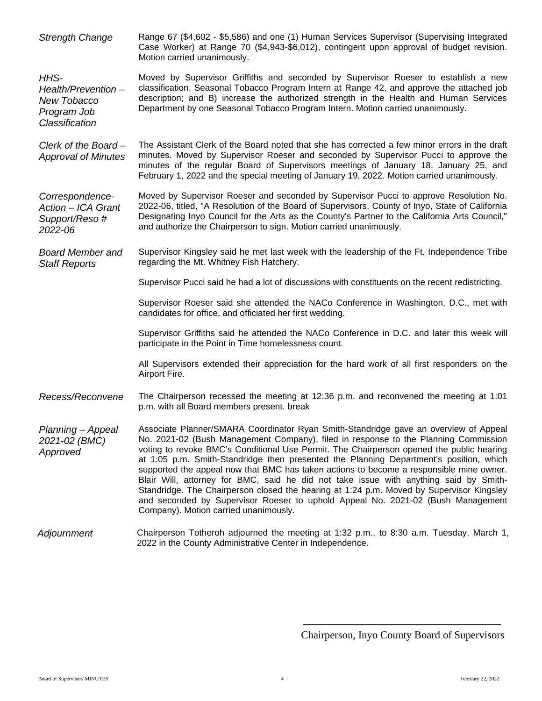| <b>Strength Change</b>                                                     | Range 67 (\$4,602 - \$5,586) and one (1) Human Services Supervisor (Supervising Integrated<br>Case Worker) at Range 70 (\$4,943-\$6,012), contingent upon approval of budget revision.<br>Motion carried unanimously.                                                                                                                                                                                                                                                                                                                                                                                                                                                                                                                                                         |
|----------------------------------------------------------------------------|-------------------------------------------------------------------------------------------------------------------------------------------------------------------------------------------------------------------------------------------------------------------------------------------------------------------------------------------------------------------------------------------------------------------------------------------------------------------------------------------------------------------------------------------------------------------------------------------------------------------------------------------------------------------------------------------------------------------------------------------------------------------------------|
| HHS-<br>Health/Prevention-<br>New Tobacco<br>Program Job<br>Classification | Moved by Supervisor Griffiths and seconded by Supervisor Roeser to establish a new<br>classification, Seasonal Tobacco Program Intern at Range 42, and approve the attached job<br>description; and B) increase the authorized strength in the Health and Human Services<br>Department by one Seasonal Tobacco Program Intern. Motion carried unanimously.                                                                                                                                                                                                                                                                                                                                                                                                                    |
| Clerk of the Board-<br><b>Approval of Minutes</b>                          | The Assistant Clerk of the Board noted that she has corrected a few minor errors in the draft<br>minutes. Moved by Supervisor Roeser and seconded by Supervisor Pucci to approve the<br>minutes of the regular Board of Supervisors meetings of January 18, January 25, and<br>February 1, 2022 and the special meeting of January 19, 2022. Motion carried unanimously.                                                                                                                                                                                                                                                                                                                                                                                                      |
| Correspondence-<br>Action - ICA Grant<br>Support/Reso #<br>2022-06         | Moved by Supervisor Roeser and seconded by Supervisor Pucci to approve Resolution No.<br>2022-06, titled, "A Resolution of the Board of Supervisors, County of Inyo, State of California<br>Designating Inyo Council for the Arts as the County's Partner to the California Arts Council,"<br>and authorize the Chairperson to sign. Motion carried unanimously.                                                                                                                                                                                                                                                                                                                                                                                                              |
| <b>Board Member and</b><br><b>Staff Reports</b>                            | Supervisor Kingsley said he met last week with the leadership of the Ft. Independence Tribe<br>regarding the Mt. Whitney Fish Hatchery.                                                                                                                                                                                                                                                                                                                                                                                                                                                                                                                                                                                                                                       |
|                                                                            | Supervisor Pucci said he had a lot of discussions with constituents on the recent redistricting.                                                                                                                                                                                                                                                                                                                                                                                                                                                                                                                                                                                                                                                                              |
|                                                                            | Supervisor Roeser said she attended the NACo Conference in Washington, D.C., met with<br>candidates for office, and officiated her first wedding.                                                                                                                                                                                                                                                                                                                                                                                                                                                                                                                                                                                                                             |
|                                                                            | Supervisor Griffiths said he attended the NACo Conference in D.C. and later this week will<br>participate in the Point in Time homelessness count.                                                                                                                                                                                                                                                                                                                                                                                                                                                                                                                                                                                                                            |
|                                                                            | All Supervisors extended their appreciation for the hard work of all first responders on the<br>Airport Fire.                                                                                                                                                                                                                                                                                                                                                                                                                                                                                                                                                                                                                                                                 |
| Recess/Reconvene                                                           | The Chairperson recessed the meeting at 12:36 p.m. and reconvened the meeting at 1:01<br>p.m. with all Board members present. break                                                                                                                                                                                                                                                                                                                                                                                                                                                                                                                                                                                                                                           |
| Planning - Appeal<br>2021-02 (BMC)<br>Approved                             | Associate Planner/SMARA Coordinator Ryan Smith-Standridge gave an overview of Appeal<br>No. 2021-02 (Bush Management Company), filed in response to the Planning Commission<br>voting to revoke BMC's Conditional Use Permit. The Chairperson opened the public hearing<br>at 1:05 p.m. Smith-Standridge then presented the Planning Department's position, which<br>supported the appeal now that BMC has taken actions to become a responsible mine owner.<br>Blair Will, attorney for BMC, said he did not take issue with anything said by Smith-<br>Standridge. The Chairperson closed the hearing at 1:24 p.m. Moved by Supervisor Kingsley<br>and seconded by Supervisor Roeser to uphold Appeal No. 2021-02 (Bush Management<br>Company). Motion carried unanimously. |
| Adjournment                                                                | Chairperson Totheroh adjourned the meeting at 1:32 p.m., to 8:30 a.m. Tuesday, March 1,<br>2022 in the County Administrative Center in Independence.                                                                                                                                                                                                                                                                                                                                                                                                                                                                                                                                                                                                                          |

Chairperson, Inyo County Board of Supervisors